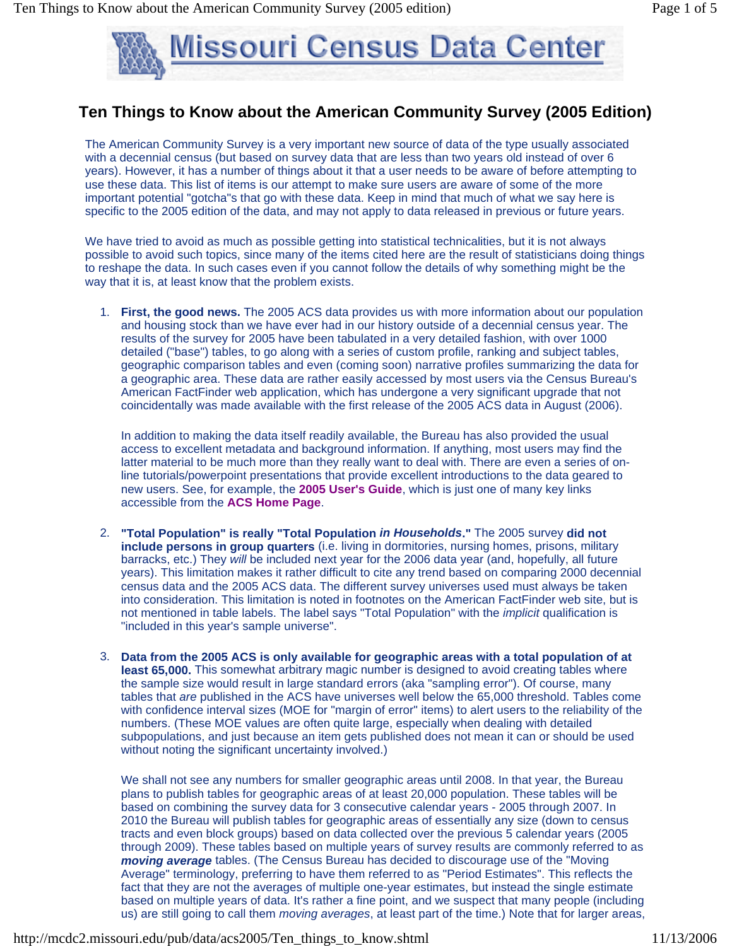

## **Ten Things to Know about the American Community Survey (2005 Edition)**

The American Community Survey is a very important new source of data of the type usually associated with a decennial census (but based on survey data that are less than two years old instead of over 6 years). However, it has a number of things about it that a user needs to be aware of before attempting to use these data. This list of items is our attempt to make sure users are aware of some of the more important potential "gotcha"s that go with these data. Keep in mind that much of what we say here is specific to the 2005 edition of the data, and may not apply to data released in previous or future years.

We have tried to avoid as much as possible getting into statistical technicalities, but it is not always possible to avoid such topics, since many of the items cited here are the result of statisticians doing things to reshape the data. In such cases even if you cannot follow the details of why something might be the way that it is, at least know that the problem exists.

1. **First, the good news.** The 2005 ACS data provides us with more information about our population and housing stock than we have ever had in our history outside of a decennial census year. The results of the survey for 2005 have been tabulated in a very detailed fashion, with over 1000 detailed ("base") tables, to go along with a series of custom profile, ranking and subject tables, geographic comparison tables and even (coming soon) narrative profiles summarizing the data for a geographic area. These data are rather easily accessed by most users via the Census Bureau's American FactFinder web application, which has undergone a very significant upgrade that not coincidentally was made available with the first release of the 2005 ACS data in August (2006).

In addition to making the data itself readily available, the Bureau has also provided the usual access to excellent metadata and background information. If anything, most users may find the latter material to be much more than they really want to deal with. There are even a series of online tutorials/powerpoint presentations that provide excellent introductions to the data geared to new users. See, for example, the **2005 User's Guide**, which is just one of many key links accessible from the **ACS Home Page**.

- 2. **"Total Population" is really "Total Population** *in Households***."** The 2005 survey **did not include persons in group quarters** (i.e. living in dormitories, nursing homes, prisons, military barracks, etc.) They *will* be included next year for the 2006 data year (and, hopefully, all future years). This limitation makes it rather difficult to cite any trend based on comparing 2000 decennial census data and the 2005 ACS data. The different survey universes used must always be taken into consideration. This limitation is noted in footnotes on the American FactFinder web site, but is not mentioned in table labels. The label says "Total Population" with the *implicit* qualification is "included in this year's sample universe".
- 3. **Data from the 2005 ACS is only available for geographic areas with a total population of at least 65,000.** This somewhat arbitrary magic number is designed to avoid creating tables where the sample size would result in large standard errors (aka "sampling error"). Of course, many tables that *are* published in the ACS have universes well below the 65,000 threshold. Tables come with confidence interval sizes (MOE for "margin of error" items) to alert users to the reliability of the numbers. (These MOE values are often quite large, especially when dealing with detailed subpopulations, and just because an item gets published does not mean it can or should be used without noting the significant uncertainty involved.)

We shall not see any numbers for smaller geographic areas until 2008. In that year, the Bureau plans to publish tables for geographic areas of at least 20,000 population. These tables will be based on combining the survey data for 3 consecutive calendar years - 2005 through 2007. In 2010 the Bureau will publish tables for geographic areas of essentially any size (down to census tracts and even block groups) based on data collected over the previous 5 calendar years (2005 through 2009). These tables based on multiple years of survey results are commonly referred to as *moving average* tables. (The Census Bureau has decided to discourage use of the "Moving Average" terminology, preferring to have them referred to as "Period Estimates". This reflects the fact that they are not the averages of multiple one-year estimates, but instead the single estimate based on multiple years of data. It's rather a fine point, and we suspect that many people (including us) are still going to call them *moving averages*, at least part of the time.) Note that for larger areas,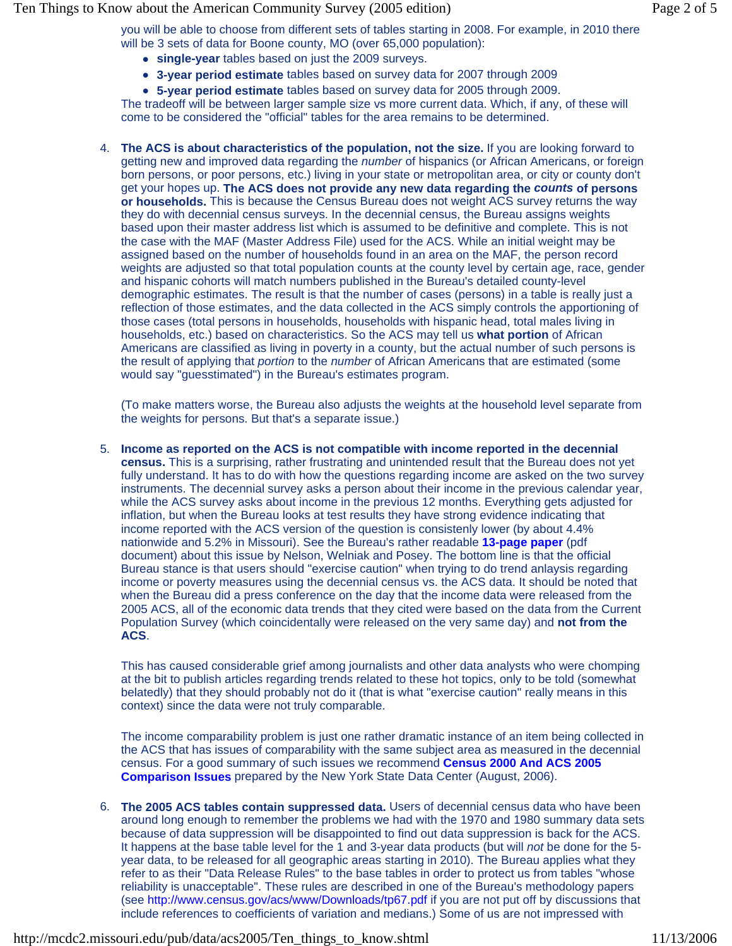Ten Things to Know about the American Community Survey (2005 edition) Page 2 of 5

you will be able to choose from different sets of tables starting in 2008. For example, in 2010 there will be 3 sets of data for Boone county, MO (over 65,000 population):

- **single-year** tables based on just the 2009 surveys.
- **3-year period estimate** tables based on survey data for 2007 through 2009
- **5-year period estimate** tables based on survey data for 2005 through 2009.

The tradeoff will be between larger sample size vs more current data. Which, if any, of these will come to be considered the "official" tables for the area remains to be determined.

4. **The ACS is about characteristics of the population, not the size.** If you are looking forward to getting new and improved data regarding the *number* of hispanics (or African Americans, or foreign born persons, or poor persons, etc.) living in your state or metropolitan area, or city or county don't get your hopes up. **The ACS does not provide any new data regarding the** *counts* **of persons or households.** This is because the Census Bureau does not weight ACS survey returns the way they do with decennial census surveys. In the decennial census, the Bureau assigns weights based upon their master address list which is assumed to be definitive and complete. This is not the case with the MAF (Master Address File) used for the ACS. While an initial weight may be assigned based on the number of households found in an area on the MAF, the person record weights are adjusted so that total population counts at the county level by certain age, race, gender and hispanic cohorts will match numbers published in the Bureau's detailed county-level demographic estimates. The result is that the number of cases (persons) in a table is really just a reflection of those estimates, and the data collected in the ACS simply controls the apportioning of those cases (total persons in households, households with hispanic head, total males living in households, etc.) based on characteristics. So the ACS may tell us **what portion** of African Americans are classified as living in poverty in a county, but the actual number of such persons is the result of applying that *portion* to the *number* of African Americans that are estimated (some would say "guesstimated") in the Bureau's estimates program.

(To make matters worse, the Bureau also adjusts the weights at the household level separate from the weights for persons. But that's a separate issue.)

5. **Income as reported on the ACS is not compatible with income reported in the decennial census.** This is a surprising, rather frustrating and unintended result that the Bureau does not yet fully understand. It has to do with how the questions regarding income are asked on the two survey instruments. The decennial survey asks a person about their income in the previous calendar year, while the ACS survey asks about income in the previous 12 months. Everything gets adjusted for inflation, but when the Bureau looks at test results they have strong evidence indicating that income reported with the ACS version of the question is consistenly lower (by about 4.4% nationwide and 5.2% in Missouri). See the Bureau's rather readable **13-page paper** (pdf document) about this issue by Nelson, Welniak and Posey. The bottom line is that the official Bureau stance is that users should "exercise caution" when trying to do trend anlaysis regarding income or poverty measures using the decennial census vs. the ACS data. It should be noted that when the Bureau did a press conference on the day that the income data were released from the 2005 ACS, all of the economic data trends that they cited were based on the data from the Current Population Survey (which coincidentally were released on the very same day) and **not from the ACS**.

This has caused considerable grief among journalists and other data analysts who were chomping at the bit to publish articles regarding trends related to these hot topics, only to be told (somewhat belatedly) that they should probably not do it (that is what "exercise caution" really means in this context) since the data were not truly comparable.

The income comparability problem is just one rather dramatic instance of an item being collected in the ACS that has issues of comparability with the same subject area as measured in the decennial census. For a good summary of such issues we recommend **Census 2000 And ACS 2005 Comparison Issues** prepared by the New York State Data Center (August, 2006).

6. **The 2005 ACS tables contain suppressed data.** Users of decennial census data who have been around long enough to remember the problems we had with the 1970 and 1980 summary data sets because of data suppression will be disappointed to find out data suppression is back for the ACS. It happens at the base table level for the 1 and 3-year data products (but will *not* be done for the 5 year data, to be released for all geographic areas starting in 2010). The Bureau applies what they refer to as their "Data Release Rules" to the base tables in order to protect us from tables "whose reliability is unacceptable". These rules are described in one of the Bureau's methodology papers (see http://www.census.gov/acs/www/Downloads/tp67.pdf if you are not put off by discussions that include references to coefficients of variation and medians.) Some of us are not impressed with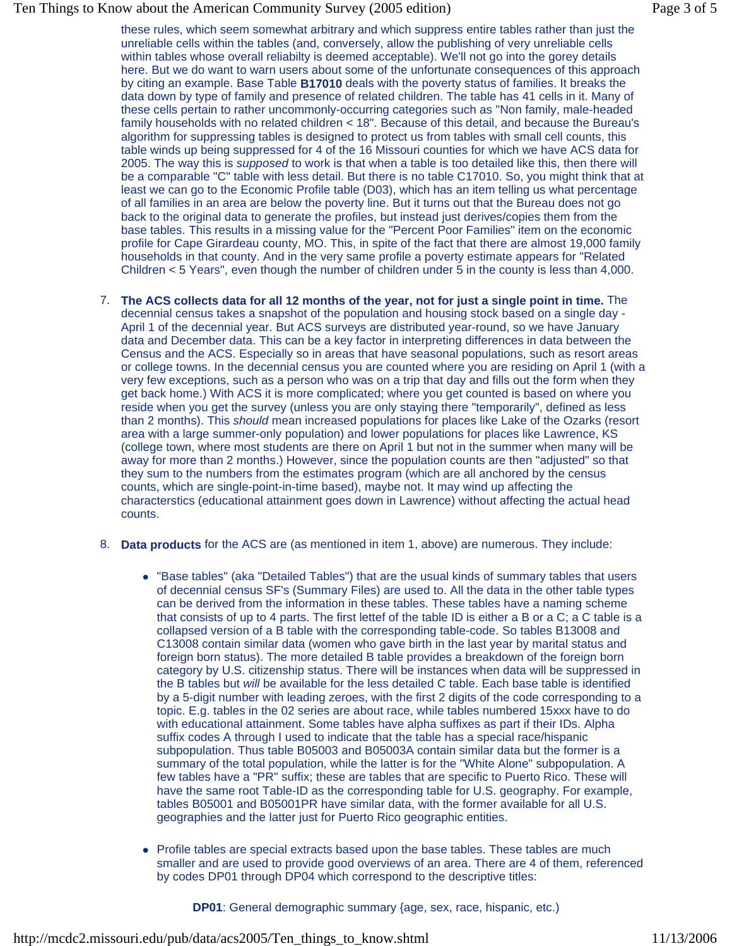## Ten Things to Know about the American Community Survey (2005 edition) Page 3 of 5

these rules, which seem somewhat arbitrary and which suppress entire tables rather than just the unreliable cells within the tables (and, conversely, allow the publishing of very unreliable cells within tables whose overall reliabilty is deemed acceptable). We'll not go into the gorey details here. But we do want to warn users about some of the unfortunate consequences of this approach by citing an example. Base Table **B17010** deals with the poverty status of families. It breaks the data down by type of family and presence of related children. The table has 41 cells in it. Many of these cells pertain to rather uncommonly-occurring categories such as "Non family, male-headed family households with no related children < 18". Because of this detail, and because the Bureau's algorithm for suppressing tables is designed to protect us from tables with small cell counts, this table winds up being suppressed for 4 of the 16 Missouri counties for which we have ACS data for 2005. The way this is *supposed* to work is that when a table is too detailed like this, then there will be a comparable "C" table with less detail. But there is no table C17010. So, you might think that at least we can go to the Economic Profile table (D03), which has an item telling us what percentage of all families in an area are below the poverty line. But it turns out that the Bureau does not go back to the original data to generate the profiles, but instead just derives/copies them from the base tables. This results in a missing value for the "Percent Poor Families" item on the economic profile for Cape Girardeau county, MO. This, in spite of the fact that there are almost 19,000 family households in that county. And in the very same profile a poverty estimate appears for "Related Children < 5 Years", even though the number of children under 5 in the county is less than 4,000.

- 7. **The ACS collects data for all 12 months of the year, not for just a single point in time.** The decennial census takes a snapshot of the population and housing stock based on a single day - April 1 of the decennial year. But ACS surveys are distributed year-round, so we have January data and December data. This can be a key factor in interpreting differences in data between the Census and the ACS. Especially so in areas that have seasonal populations, such as resort areas or college towns. In the decennial census you are counted where you are residing on April 1 (with a very few exceptions, such as a person who was on a trip that day and fills out the form when they get back home.) With ACS it is more complicated; where you get counted is based on where you reside when you get the survey (unless you are only staying there "temporarily", defined as less than 2 months). This *should* mean increased populations for places like Lake of the Ozarks (resort area with a large summer-only population) and lower populations for places like Lawrence, KS (college town, where most students are there on April 1 but not in the summer when many will be away for more than 2 months.) However, since the population counts are then "adjusted" so that they sum to the numbers from the estimates program (which are all anchored by the census counts, which are single-point-in-time based), maybe not. It may wind up affecting the characterstics (educational attainment goes down in Lawrence) without affecting the actual head counts.
- 8. **Data products** for the ACS are (as mentioned in item 1, above) are numerous. They include:
	- "Base tables" (aka "Detailed Tables") that are the usual kinds of summary tables that users of decennial census SF's (Summary Files) are used to. All the data in the other table types can be derived from the information in these tables. These tables have a naming scheme that consists of up to 4 parts. The first lettef of the table ID is either a B or a C; a C table is a collapsed version of a B table with the corresponding table-code. So tables B13008 and C13008 contain similar data (women who gave birth in the last year by marital status and foreign born status). The more detailed B table provides a breakdown of the foreign born category by U.S. citizenship status. There will be instances when data will be suppressed in the B tables but *will* be available for the less detailed C table. Each base table is identified by a 5-digit number with leading zeroes, with the first 2 digits of the code corresponding to a topic. E.g. tables in the 02 series are about race, while tables numbered 15xxx have to do with educational attainment. Some tables have alpha suffixes as part if their IDs. Alpha suffix codes A through I used to indicate that the table has a special race/hispanic subpopulation. Thus table B05003 and B05003A contain similar data but the former is a summary of the total population, while the latter is for the "White Alone" subpopulation. A few tables have a "PR" suffix; these are tables that are specific to Puerto Rico. These will have the same root Table-ID as the corresponding table for U.S. geography. For example, tables B05001 and B05001PR have similar data, with the former available for all U.S. geographies and the latter just for Puerto Rico geographic entities.
	- Profile tables are special extracts based upon the base tables. These tables are much smaller and are used to provide good overviews of an area. There are 4 of them, referenced by codes DP01 through DP04 which correspond to the descriptive titles:

**DP01**: General demographic summary {age, sex, race, hispanic, etc.)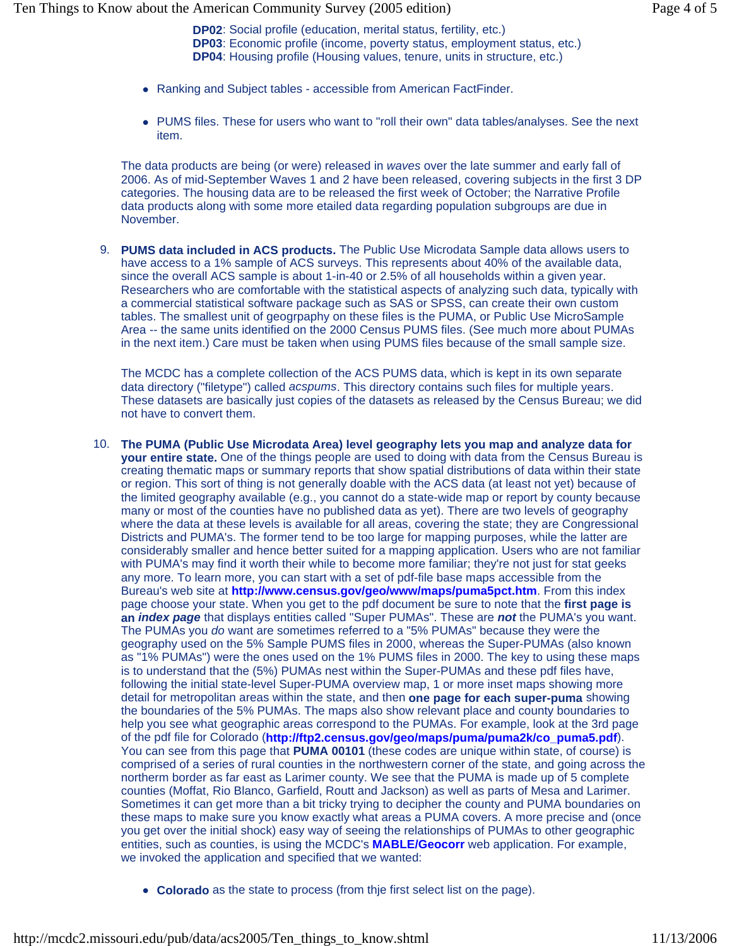**DP02**: Social profile (education, merital status, fertility, etc.) **DP03**: Economic profile (income, poverty status, employment status, etc.) **DP04**: Housing profile (Housing values, tenure, units in structure, etc.)

- Ranking and Subject tables accessible from American FactFinder.
- PUMS files. These for users who want to "roll their own" data tables/analyses. See the next item.

The data products are being (or were) released in *waves* over the late summer and early fall of 2006. As of mid-September Waves 1 and 2 have been released, covering subjects in the first 3 DP categories. The housing data are to be released the first week of October; the Narrative Profile data products along with some more etailed data regarding population subgroups are due in November.

9. **PUMS data included in ACS products.** The Public Use Microdata Sample data allows users to have access to a 1% sample of ACS surveys. This represents about 40% of the available data, since the overall ACS sample is about 1-in-40 or 2.5% of all households within a given year. Researchers who are comfortable with the statistical aspects of analyzing such data, typically with a commercial statistical software package such as SAS or SPSS, can create their own custom tables. The smallest unit of geogrpaphy on these files is the PUMA, or Public Use MicroSample Area -- the same units identified on the 2000 Census PUMS files. (See much more about PUMAs in the next item.) Care must be taken when using PUMS files because of the small sample size.

The MCDC has a complete collection of the ACS PUMS data, which is kept in its own separate data directory ("filetype") called *acspums*. This directory contains such files for multiple years. These datasets are basically just copies of the datasets as released by the Census Bureau; we did not have to convert them.

- 10. **The PUMA (Public Use Microdata Area) level geography lets you map and analyze data for your entire state.** One of the things people are used to doing with data from the Census Bureau is creating thematic maps or summary reports that show spatial distributions of data within their state or region. This sort of thing is not generally doable with the ACS data (at least not yet) because of the limited geography available (e.g., you cannot do a state-wide map or report by county because many or most of the counties have no published data as yet). There are two levels of geography where the data at these levels is available for all areas, covering the state; they are Congressional Districts and PUMA's. The former tend to be too large for mapping purposes, while the latter are considerably smaller and hence better suited for a mapping application. Users who are not familiar with PUMA's may find it worth their while to become more familiar; they're not just for stat geeks any more. To learn more, you can start with a set of pdf-file base maps accessible from the Bureau's web site at **http://www.census.gov/geo/www/maps/puma5pct.htm**. From this index page choose your state. When you get to the pdf document be sure to note that the **first page is an** *index page* that displays entities called "Super PUMAs". These are *not* the PUMA's you want. The PUMAs you *do* want are sometimes referred to a "5% PUMAs" because they were the geography used on the 5% Sample PUMS files in 2000, whereas the Super-PUMAs (also known as "1% PUMAs") were the ones used on the 1% PUMS files in 2000. The key to using these maps is to understand that the (5%) PUMAs nest within the Super-PUMAs and these pdf files have, following the initial state-level Super-PUMA overview map, 1 or more inset maps showing more detail for metropolitan areas within the state, and then **one page for each super-puma** showing the boundaries of the 5% PUMAs. The maps also show relevant place and county boundaries to help you see what geographic areas correspond to the PUMAs. For example, look at the 3rd page of the pdf file for Colorado (**http://ftp2.census.gov/geo/maps/puma/puma2k/co\_puma5.pdf**). You can see from this page that **PUMA 00101** (these codes are unique within state, of course) is comprised of a series of rural counties in the northwestern corner of the state, and going across the northerm border as far east as Larimer county. We see that the PUMA is made up of 5 complete counties (Moffat, Rio Blanco, Garfield, Routt and Jackson) as well as parts of Mesa and Larimer. Sometimes it can get more than a bit tricky trying to decipher the county and PUMA boundaries on these maps to make sure you know exactly what areas a PUMA covers. A more precise and (once you get over the initial shock) easy way of seeing the relationships of PUMAs to other geographic entities, such as counties, is using the MCDC's **MABLE/Geocorr** web application. For example, we invoked the application and specified that we wanted:
	- **Colorado** as the state to process (from thje first select list on the page).